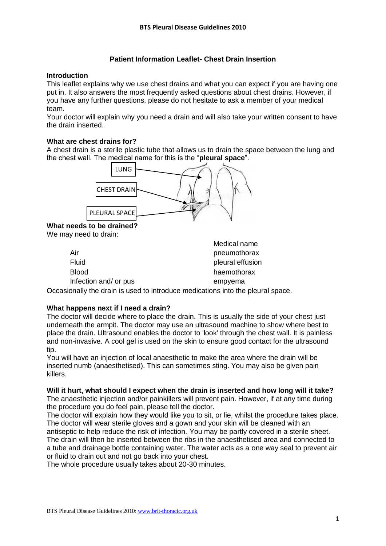## **Patient Information Leaflet- Chest Drain Insertion**

#### **Introduction**

This leaflet explains why we use chest drains and what you can expect if you are having one put in. It also answers the most frequently asked questions about chest drains. However, if you have any further questions, please do not hesitate to ask a member of your medical team.

Your doctor will explain why you need a drain and will also take your written consent to have the drain inserted.

#### **What are chest drains for?**

A chest drain is a sterile plastic tube that allows us to drain the space between the lung and the chest wall. The medical name for this is the "**pleural space**".



**What needs to be drained?**

We may need to drain:

|                       | Medical name     |
|-----------------------|------------------|
| Air                   | pneumothorax     |
| Fluid                 | pleural effusion |
| <b>Blood</b>          | haemothorax      |
| Infection and/ or pus | empyema          |

Occasionally the drain is used to introduce medications into the pleural space.

#### **What happens next if I need a drain?**

The doctor will decide where to place the drain. This is usually the side of your chest just underneath the armpit. The doctor may use an ultrasound machine to show where best to place the drain. Ultrasound enables the doctor to 'look' through the chest wall. It is painless and non-invasive. A cool gel is used on the skin to ensure good contact for the ultrasound tip.

You will have an injection of local anaesthetic to make the area where the drain will be inserted numb (anaesthetised). This can sometimes sting. You may also be given pain killers.

#### **Will it hurt, what should I expect when the drain is inserted and how long will it take?**

The anaesthetic injection and/or painkillers will prevent pain. However, if at any time during the procedure you do feel pain, please tell the doctor.

The doctor will explain how they would like you to sit, or lie, whilst the procedure takes place. The doctor will wear sterile gloves and a gown and your skin will be cleaned with an antiseptic to help reduce the risk of infection. You may be partly covered in a sterile sheet. The drain will then be inserted between the ribs in the anaesthetised area and connected to a tube and drainage bottle containing water. The water acts as a one way seal to prevent air or fluid to drain out and not go back into your chest.

The whole procedure usually takes about 20-30 minutes.